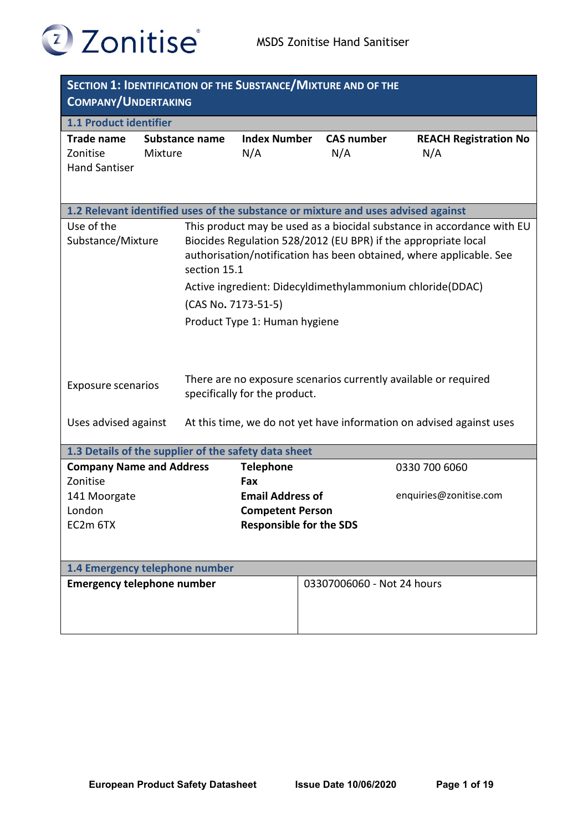

| <b>SECTION 1: IDENTIFICATION OF THE SUBSTANCE/MIXTURE AND OF THE</b><br><b>COMPANY/UNDERTAKING</b> |                     |                                                           |                   |                                                                        |  |
|----------------------------------------------------------------------------------------------------|---------------------|-----------------------------------------------------------|-------------------|------------------------------------------------------------------------|--|
| 1.1 Product identifier                                                                             |                     |                                                           |                   |                                                                        |  |
| <b>Trade name</b>                                                                                  | Substance name      | <b>Index Number</b>                                       | <b>CAS number</b> | <b>REACH Registration No</b>                                           |  |
| Zonitise                                                                                           | Mixture             | N/A                                                       | N/A               | N/A                                                                    |  |
| <b>Hand Santiser</b>                                                                               |                     |                                                           |                   |                                                                        |  |
|                                                                                                    |                     |                                                           |                   |                                                                        |  |
| 1.2 Relevant identified uses of the substance or mixture and uses advised against                  |                     |                                                           |                   |                                                                        |  |
| Use of the                                                                                         |                     |                                                           |                   | This product may be used as a biocidal substance in accordance with EU |  |
| Substance/Mixture                                                                                  |                     |                                                           |                   | Biocides Regulation 528/2012 (EU BPR) if the appropriate local         |  |
|                                                                                                    |                     |                                                           |                   | authorisation/notification has been obtained, where applicable. See    |  |
|                                                                                                    | section 15.1        |                                                           |                   |                                                                        |  |
|                                                                                                    |                     |                                                           |                   | Active ingredient: Didecyldimethylammonium chloride(DDAC)              |  |
|                                                                                                    | (CAS No. 7173-51-5) |                                                           |                   |                                                                        |  |
|                                                                                                    |                     | Product Type 1: Human hygiene                             |                   |                                                                        |  |
|                                                                                                    |                     |                                                           |                   |                                                                        |  |
|                                                                                                    |                     |                                                           |                   |                                                                        |  |
|                                                                                                    |                     |                                                           |                   |                                                                        |  |
| <b>Exposure scenarios</b>                                                                          |                     | specifically for the product.                             |                   | There are no exposure scenarios currently available or required        |  |
|                                                                                                    |                     |                                                           |                   |                                                                        |  |
| Uses advised against                                                                               |                     |                                                           |                   | At this time, we do not yet have information on advised against uses   |  |
|                                                                                                    |                     |                                                           |                   |                                                                        |  |
| 1.3 Details of the supplier of the safety data sheet                                               |                     |                                                           |                   |                                                                        |  |
| <b>Company Name and Address</b>                                                                    |                     | <b>Telephone</b>                                          |                   | 0330 700 6060                                                          |  |
| Zonitise                                                                                           |                     | Fax                                                       |                   | enquiries@zonitise.com                                                 |  |
| 141 Moorgate<br>London                                                                             |                     | <b>Email Address of</b>                                   |                   |                                                                        |  |
| EC2m 6TX                                                                                           |                     | <b>Competent Person</b><br><b>Responsible for the SDS</b> |                   |                                                                        |  |
|                                                                                                    |                     |                                                           |                   |                                                                        |  |
|                                                                                                    |                     |                                                           |                   |                                                                        |  |
| 1.4 Emergency telephone number                                                                     |                     |                                                           |                   |                                                                        |  |
| <b>Emergency telephone number</b><br>03307006060 - Not 24 hours                                    |                     |                                                           |                   |                                                                        |  |
|                                                                                                    |                     |                                                           |                   |                                                                        |  |
|                                                                                                    |                     |                                                           |                   |                                                                        |  |
|                                                                                                    |                     |                                                           |                   |                                                                        |  |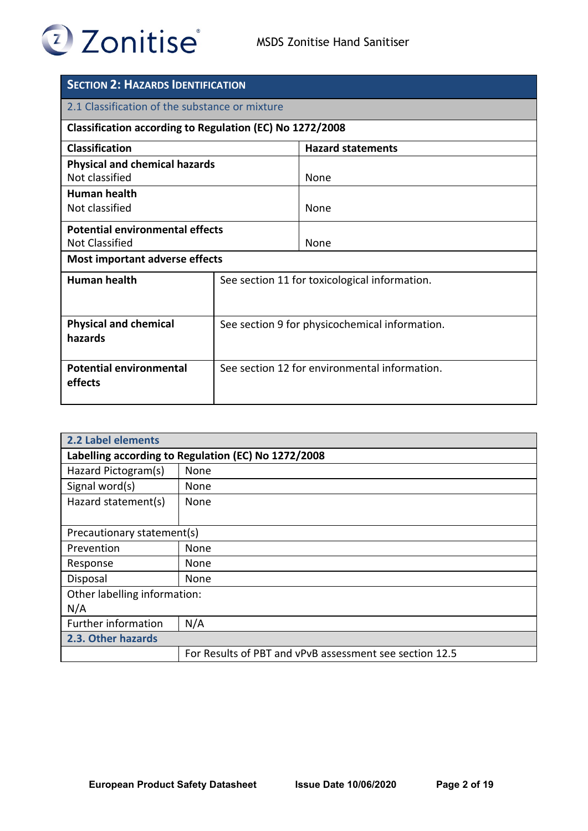

| <b>SECTION 2: HAZARDS IDENTIFICATION</b>                 |                                                |                          |  |
|----------------------------------------------------------|------------------------------------------------|--------------------------|--|
| 2.1 Classification of the substance or mixture           |                                                |                          |  |
| Classification according to Regulation (EC) No 1272/2008 |                                                |                          |  |
| <b>Classification</b>                                    |                                                | <b>Hazard statements</b> |  |
| <b>Physical and chemical hazards</b>                     |                                                |                          |  |
| Not classified                                           |                                                | None                     |  |
| <b>Human health</b>                                      |                                                |                          |  |
| Not classified                                           |                                                | <b>None</b>              |  |
| <b>Potential environmental effects</b>                   |                                                |                          |  |
| <b>Not Classified</b>                                    |                                                | <b>None</b>              |  |
| Most important adverse effects                           |                                                |                          |  |
| <b>Human health</b>                                      | See section 11 for toxicological information.  |                          |  |
|                                                          |                                                |                          |  |
| <b>Physical and chemical</b>                             | See section 9 for physicochemical information. |                          |  |
| hazards                                                  |                                                |                          |  |
|                                                          |                                                |                          |  |
| <b>Potential environmental</b>                           | See section 12 for environmental information.  |                          |  |
| effects                                                  |                                                |                          |  |
|                                                          |                                                |                          |  |

| 2.2 Label elements                                  |                                                         |  |  |
|-----------------------------------------------------|---------------------------------------------------------|--|--|
| Labelling according to Regulation (EC) No 1272/2008 |                                                         |  |  |
| Hazard Pictogram(s)                                 | None                                                    |  |  |
| Signal word(s)                                      | None                                                    |  |  |
| Hazard statement(s)                                 | None                                                    |  |  |
|                                                     |                                                         |  |  |
| Precautionary statement(s)                          |                                                         |  |  |
| Prevention                                          | None                                                    |  |  |
| Response                                            | None                                                    |  |  |
| Disposal                                            | None                                                    |  |  |
| Other labelling information:                        |                                                         |  |  |
| N/A                                                 |                                                         |  |  |
| <b>Further information</b>                          | N/A                                                     |  |  |
| 2.3. Other hazards                                  |                                                         |  |  |
|                                                     | For Results of PBT and vPvB assessment see section 12.5 |  |  |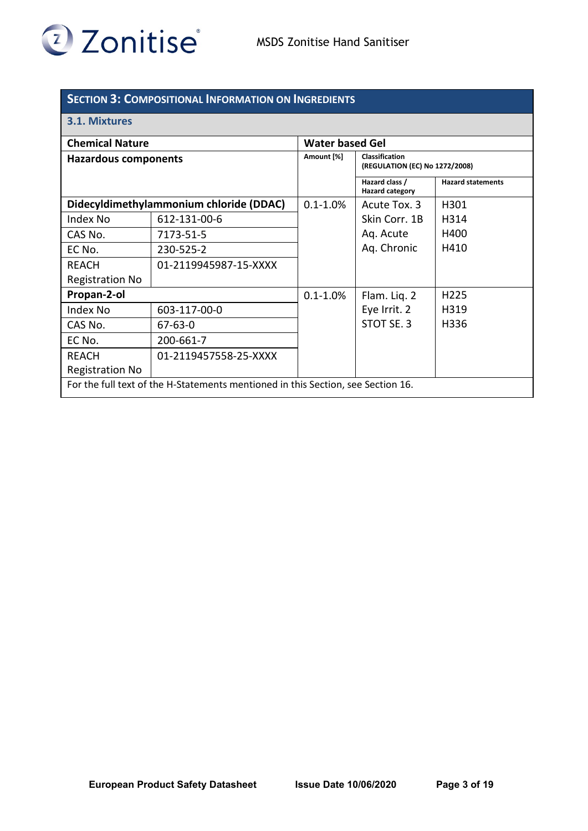

## **SECTION 3: COMPOSITIONAL INFORMATION ON INGREDIENTS**

## **3.1. Mixtures**

| <b>Chemical Nature</b>                                                           |                       | <b>Water based Gel</b> |                                                  |                          |
|----------------------------------------------------------------------------------|-----------------------|------------------------|--------------------------------------------------|--------------------------|
| <b>Hazardous components</b>                                                      |                       | Amount [%]             | Classification<br>(REGULATION (EC) No 1272/2008) |                          |
|                                                                                  |                       |                        | Hazard class /<br><b>Hazard category</b>         | <b>Hazard statements</b> |
| Didecyldimethylammonium chloride (DDAC)                                          |                       | $0.1 - 1.0\%$          | Acute Tox. 3                                     | H301                     |
| Index No                                                                         | 612-131-00-6          |                        | Skin Corr. 1B                                    | H314                     |
| CAS No.                                                                          | 7173-51-5             |                        | Aq. Acute                                        | H400                     |
| EC No.                                                                           | 230-525-2             |                        | Aq. Chronic                                      | H410                     |
| <b>REACH</b>                                                                     | 01-2119945987-15-XXXX |                        |                                                  |                          |
| <b>Registration No</b>                                                           |                       |                        |                                                  |                          |
| Propan-2-ol                                                                      |                       | $0.1 - 1.0\%$          | Flam. Liq. 2                                     | H <sub>225</sub>         |
| Index No                                                                         | 603-117-00-0          |                        | Eye Irrit. 2                                     | H319                     |
| CAS No.                                                                          | 67-63-0               |                        | STOT SE, 3                                       | H336                     |
| EC No.                                                                           | 200-661-7             |                        |                                                  |                          |
| <b>REACH</b>                                                                     | 01-2119457558-25-XXXX |                        |                                                  |                          |
| <b>Registration No</b>                                                           |                       |                        |                                                  |                          |
| For the full text of the H-Statements mentioned in this Section, see Section 16. |                       |                        |                                                  |                          |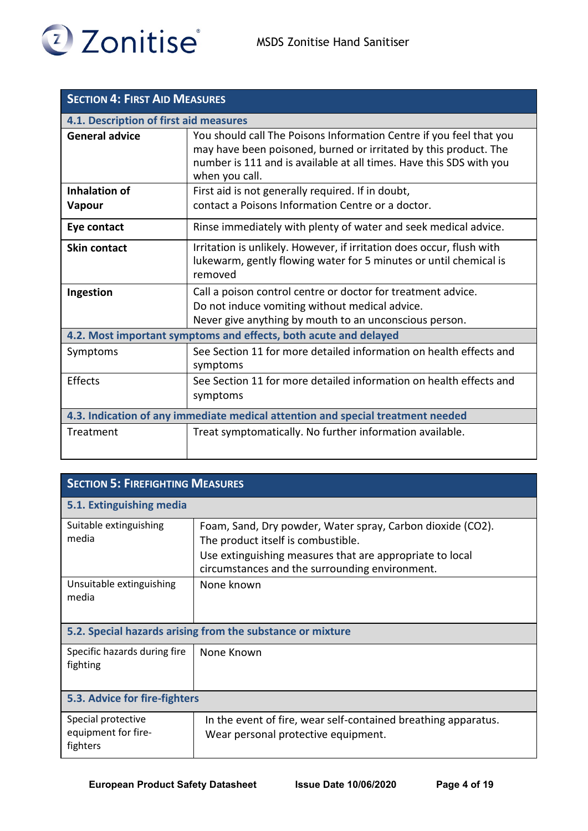

| <b>SECTION 4: FIRST AID MEASURES</b>                                            |                                                                                                                                                                                                                                  |  |  |
|---------------------------------------------------------------------------------|----------------------------------------------------------------------------------------------------------------------------------------------------------------------------------------------------------------------------------|--|--|
| 4.1. Description of first aid measures                                          |                                                                                                                                                                                                                                  |  |  |
| <b>General advice</b>                                                           | You should call The Poisons Information Centre if you feel that you<br>may have been poisoned, burned or irritated by this product. The<br>number is 111 and is available at all times. Have this SDS with you<br>when you call. |  |  |
| <b>Inhalation of</b>                                                            | First aid is not generally required. If in doubt,                                                                                                                                                                                |  |  |
| <b>Vapour</b>                                                                   | contact a Poisons Information Centre or a doctor.                                                                                                                                                                                |  |  |
| Eye contact                                                                     | Rinse immediately with plenty of water and seek medical advice.                                                                                                                                                                  |  |  |
| Skin contact                                                                    | Irritation is unlikely. However, if irritation does occur, flush with<br>lukewarm, gently flowing water for 5 minutes or until chemical is<br>removed                                                                            |  |  |
| Ingestion                                                                       | Call a poison control centre or doctor for treatment advice.                                                                                                                                                                     |  |  |
|                                                                                 | Do not induce vomiting without medical advice.                                                                                                                                                                                   |  |  |
|                                                                                 | Never give anything by mouth to an unconscious person.                                                                                                                                                                           |  |  |
| 4.2. Most important symptoms and effects, both acute and delayed                |                                                                                                                                                                                                                                  |  |  |
| Symptoms                                                                        | See Section 11 for more detailed information on health effects and<br>symptoms                                                                                                                                                   |  |  |
| Effects                                                                         | See Section 11 for more detailed information on health effects and                                                                                                                                                               |  |  |
|                                                                                 | symptoms                                                                                                                                                                                                                         |  |  |
| 4.3. Indication of any immediate medical attention and special treatment needed |                                                                                                                                                                                                                                  |  |  |
| Treatment                                                                       | Treat symptomatically. No further information available.                                                                                                                                                                         |  |  |

| <b>SECTION 5: FIREFIGHTING MEASURES</b>                    |                                                                                                                                                                                                                |  |  |
|------------------------------------------------------------|----------------------------------------------------------------------------------------------------------------------------------------------------------------------------------------------------------------|--|--|
| 5.1. Extinguishing media                                   |                                                                                                                                                                                                                |  |  |
| Suitable extinguishing<br>media                            | Foam, Sand, Dry powder, Water spray, Carbon dioxide (CO2).<br>The product itself is combustible.<br>Use extinguishing measures that are appropriate to local<br>circumstances and the surrounding environment. |  |  |
| Unsuitable extinguishing<br>media                          | None known                                                                                                                                                                                                     |  |  |
| 5.2. Special hazards arising from the substance or mixture |                                                                                                                                                                                                                |  |  |
| Specific hazards during fire<br>fighting                   | None Known                                                                                                                                                                                                     |  |  |
| 5.3. Advice for fire-fighters                              |                                                                                                                                                                                                                |  |  |
| Special protective<br>equipment for fire-<br>fighters      | In the event of fire, wear self-contained breathing apparatus.<br>Wear personal protective equipment.                                                                                                          |  |  |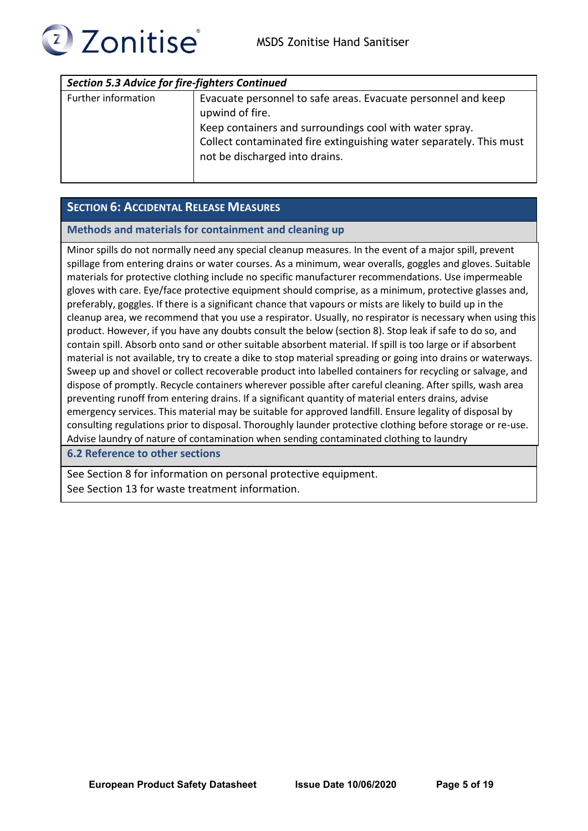

| <b>Section 5.3 Advice for fire-fighters Continued</b> |                                                                                                                                                                                                                                                      |  |  |
|-------------------------------------------------------|------------------------------------------------------------------------------------------------------------------------------------------------------------------------------------------------------------------------------------------------------|--|--|
| Further information                                   | Evacuate personnel to safe areas. Evacuate personnel and keep<br>upwind of fire.<br>Keep containers and surroundings cool with water spray.<br>Collect contaminated fire extinguishing water separately. This must<br>not be discharged into drains. |  |  |
|                                                       |                                                                                                                                                                                                                                                      |  |  |

## **SECTION 6: ACCIDENTAL RELEASE MEASURES**

#### **Methods and materials for containment and cleaning up**

Minor spills do not normally need any special cleanup measures. In the event of a major spill, prevent spillage from entering drains or water courses. As a minimum, wear overalls, goggles and gloves. Suitable materials for protective clothing include no specific manufacturer recommendations. Use impermeable gloves with care. Eye/face protective equipment should comprise, as a minimum, protective glasses and, preferably, goggles. If there is a significant chance that vapours or mists are likely to build up in the cleanup area, we recommend that you use a respirator. Usually, no respirator is necessary when using this product. However, if you have any doubts consult the below (section 8). Stop leak if safe to do so, and contain spill. Absorb onto sand or other suitable absorbent material. If spill is too large or if absorbent material is not available, try to create a dike to stop material spreading or going into drains or waterways. Sweep up and shovel or collect recoverable product into labelled containers for recycling or salvage, and dispose of promptly. Recycle containers wherever possible after careful cleaning. After spills, wash area preventing runoff from entering drains. If a significant quantity of material enters drains, advise emergency services. This material may be suitable for approved landfill. Ensure legality of disposal by consulting regulations prior to disposal. Thoroughly launder protective clothing before storage or re-use. Advise laundry of nature of contamination when sending contaminated clothing to laundry

## **6.2 Reference to other sections**

See Section 8 for information on personal protective equipment. See Section 13 for waste treatment information.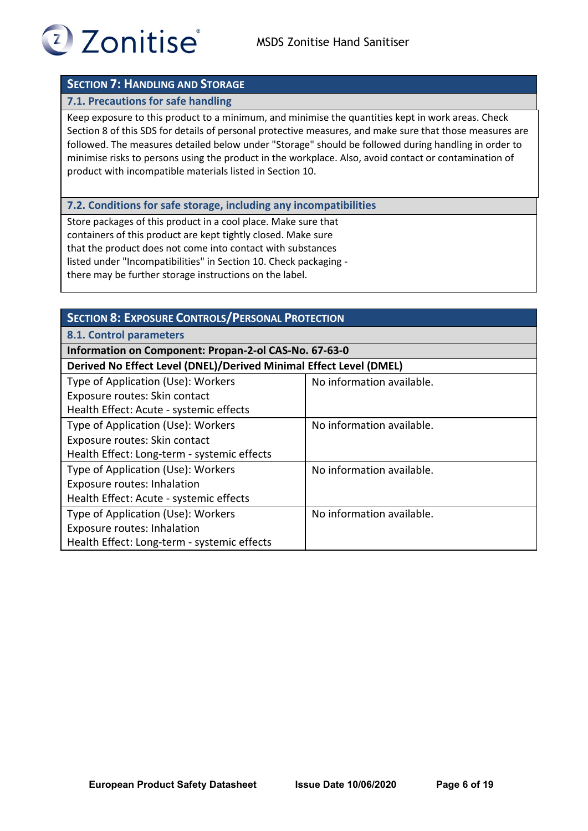

## **SECTION 7: HANDLING AND STORAGE**

#### **7.1. Precautions for safe handling**

Keep exposure to this product to a minimum, and minimise the quantities kept in work areas. Check Section 8 of this SDS for details of personal protective measures, and make sure that those measures are followed. The measures detailed below under "Storage" should be followed during handling in order to minimise risks to persons using the product in the workplace. Also, avoid contact or contamination of product with incompatible materials listed in Section 10.

#### **7.2. Conditions for safe storage, including any incompatibilities**

Store packages of this product in a cool place. Make sure that containers of this product are kept tightly closed. Make sure that the product does not come into contact with substances listed under "Incompatibilities" in Section 10. Check packaging there may be further storage instructions on the label.

| <b>SECTION 8: EXPOSURE CONTROLS/PERSONAL PROTECTION</b>            |                           |  |
|--------------------------------------------------------------------|---------------------------|--|
| 8.1. Control parameters                                            |                           |  |
| Information on Component: Propan-2-ol CAS-No. 67-63-0              |                           |  |
| Derived No Effect Level (DNEL)/Derived Minimal Effect Level (DMEL) |                           |  |
| Type of Application (Use): Workers                                 | No information available. |  |
| Exposure routes: Skin contact                                      |                           |  |
| Health Effect: Acute - systemic effects                            |                           |  |
| Type of Application (Use): Workers                                 | No information available. |  |
| Exposure routes: Skin contact                                      |                           |  |
| Health Effect: Long-term - systemic effects                        |                           |  |
| Type of Application (Use): Workers                                 | No information available. |  |
| Exposure routes: Inhalation                                        |                           |  |
| Health Effect: Acute - systemic effects                            |                           |  |
| Type of Application (Use): Workers<br>No information available.    |                           |  |
| Exposure routes: Inhalation                                        |                           |  |
| Health Effect: Long-term - systemic effects                        |                           |  |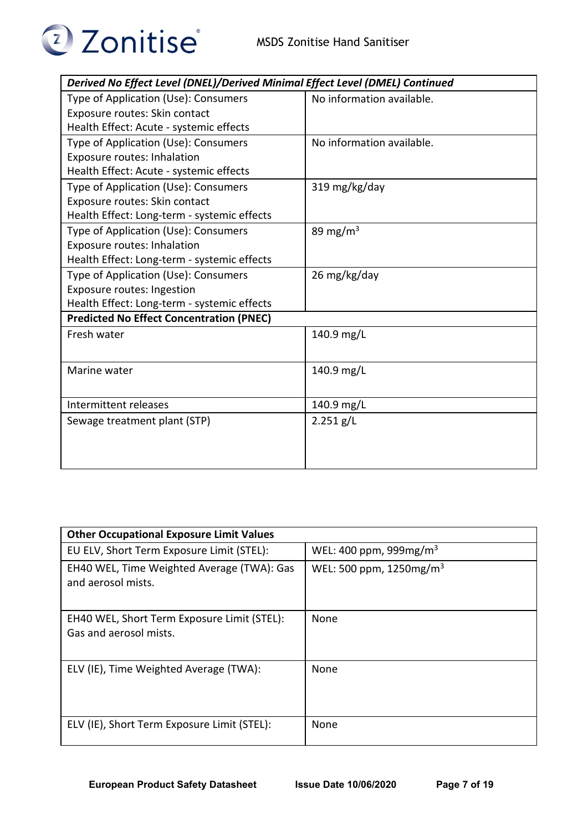

| Derived No Effect Level (DNEL)/Derived Minimal Effect Level (DMEL) Continued |                           |  |  |
|------------------------------------------------------------------------------|---------------------------|--|--|
| Type of Application (Use): Consumers                                         | No information available. |  |  |
| Exposure routes: Skin contact                                                |                           |  |  |
| Health Effect: Acute - systemic effects                                      |                           |  |  |
| Type of Application (Use): Consumers                                         | No information available. |  |  |
| <b>Exposure routes: Inhalation</b>                                           |                           |  |  |
| Health Effect: Acute - systemic effects                                      |                           |  |  |
| Type of Application (Use): Consumers                                         | 319 mg/kg/day             |  |  |
| Exposure routes: Skin contact                                                |                           |  |  |
| Health Effect: Long-term - systemic effects                                  |                           |  |  |
| Type of Application (Use): Consumers                                         | 89 mg/m $3$               |  |  |
| <b>Exposure routes: Inhalation</b>                                           |                           |  |  |
| Health Effect: Long-term - systemic effects                                  |                           |  |  |
| Type of Application (Use): Consumers                                         | 26 mg/kg/day              |  |  |
| Exposure routes: Ingestion                                                   |                           |  |  |
| Health Effect: Long-term - systemic effects                                  |                           |  |  |
| <b>Predicted No Effect Concentration (PNEC)</b>                              |                           |  |  |
| Fresh water                                                                  | 140.9 mg/L                |  |  |
|                                                                              |                           |  |  |
| Marine water                                                                 | 140.9 mg/L                |  |  |
|                                                                              |                           |  |  |
| Intermittent releases                                                        | 140.9 mg/L                |  |  |
| Sewage treatment plant (STP)                                                 | $2.251$ g/L               |  |  |
|                                                                              |                           |  |  |
|                                                                              |                           |  |  |
|                                                                              |                           |  |  |

| <b>Other Occupational Exposure Limit Values</b>                       |                                     |  |  |
|-----------------------------------------------------------------------|-------------------------------------|--|--|
| EU ELV, Short Term Exposure Limit (STEL):                             | WEL: 400 ppm, 999mg/m <sup>3</sup>  |  |  |
| EH40 WEL, Time Weighted Average (TWA): Gas<br>and aerosol mists.      | WEL: 500 ppm, 1250mg/m <sup>3</sup> |  |  |
| EH40 WEL, Short Term Exposure Limit (STEL):<br>Gas and aerosol mists. | None                                |  |  |
| ELV (IE), Time Weighted Average (TWA):                                | None                                |  |  |
| ELV (IE), Short Term Exposure Limit (STEL):                           | None                                |  |  |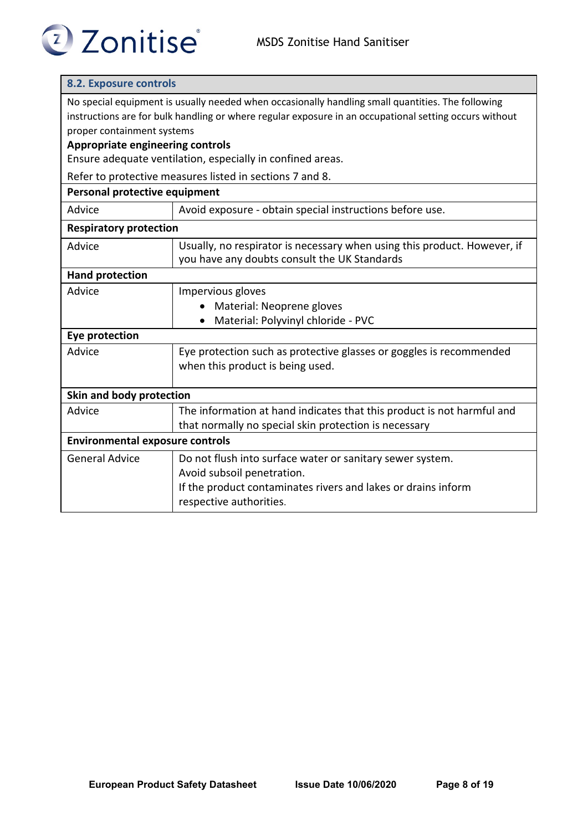# <sup>2</sup> Zonitise<sup>®</sup>

## **8.2. Exposure controls**

No special equipment is usually needed when occasionally handling small quantities. The following instructions are for bulk handling or where regular exposure in an occupational setting occurs without proper containment systems

## **Appropriate engineering controls**

Ensure adequate ventilation, especially in confined areas.

Refer to protective measures listed in sections 7 and 8.

| Personal protective equipment          |                                                                                                                          |  |  |
|----------------------------------------|--------------------------------------------------------------------------------------------------------------------------|--|--|
| Advice                                 | Avoid exposure - obtain special instructions before use.                                                                 |  |  |
| <b>Respiratory protection</b>          |                                                                                                                          |  |  |
| Advice                                 | Usually, no respirator is necessary when using this product. However, if<br>you have any doubts consult the UK Standards |  |  |
| <b>Hand protection</b>                 |                                                                                                                          |  |  |
| Advice                                 | Impervious gloves                                                                                                        |  |  |
|                                        | Material: Neoprene gloves                                                                                                |  |  |
|                                        | Material: Polyvinyl chloride - PVC                                                                                       |  |  |
| <b>Eye protection</b>                  |                                                                                                                          |  |  |
| Advice                                 | Eye protection such as protective glasses or goggles is recommended                                                      |  |  |
|                                        | when this product is being used.                                                                                         |  |  |
| Skin and body protection               |                                                                                                                          |  |  |
| Advice                                 | The information at hand indicates that this product is not harmful and                                                   |  |  |
|                                        | that normally no special skin protection is necessary                                                                    |  |  |
| <b>Environmental exposure controls</b> |                                                                                                                          |  |  |
| <b>General Advice</b>                  | Do not flush into surface water or sanitary sewer system.                                                                |  |  |
|                                        | Avoid subsoil penetration.                                                                                               |  |  |
|                                        | If the product contaminates rivers and lakes or drains inform                                                            |  |  |
|                                        | respective authorities.                                                                                                  |  |  |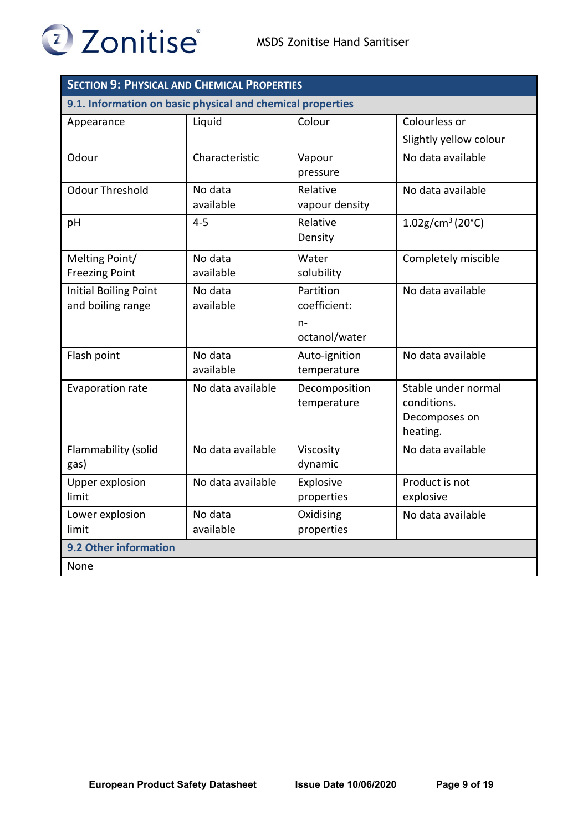

| <b>SECTION 9: PHYSICAL AND CHEMICAL PROPERTIES</b>         |                      |                                                    |                                                                 |  |
|------------------------------------------------------------|----------------------|----------------------------------------------------|-----------------------------------------------------------------|--|
| 9.1. Information on basic physical and chemical properties |                      |                                                    |                                                                 |  |
| Appearance                                                 | Liquid               | Colour                                             | Colourless or                                                   |  |
|                                                            |                      |                                                    | Slightly yellow colour                                          |  |
| Odour                                                      | Characteristic       | Vapour<br>pressure                                 | No data available                                               |  |
| <b>Odour Threshold</b>                                     | No data<br>available | Relative<br>vapour density                         | No data available                                               |  |
| pH                                                         | $4 - 5$              | Relative<br>Density                                | $1.02$ g/cm <sup>3</sup> (20°C)                                 |  |
| Melting Point/<br><b>Freezing Point</b>                    | No data<br>available | Water<br>solubility                                | Completely miscible                                             |  |
| <b>Initial Boiling Point</b><br>and boiling range          | No data<br>available | Partition<br>coefficient:<br>$n-$<br>octanol/water | No data available                                               |  |
| Flash point                                                | No data<br>available | Auto-ignition<br>temperature                       | No data available                                               |  |
| Evaporation rate                                           | No data available    | Decomposition<br>temperature                       | Stable under normal<br>conditions.<br>Decomposes on<br>heating. |  |
| Flammability (solid<br>gas)                                | No data available    | Viscosity<br>dynamic                               | No data available                                               |  |
| <b>Upper explosion</b><br>limit                            | No data available    | Explosive<br>properties                            | Product is not<br>explosive                                     |  |
| Lower explosion<br>limit                                   | No data<br>available | Oxidising<br>properties                            | No data available                                               |  |
| 9.2 Other information                                      |                      |                                                    |                                                                 |  |
| None                                                       |                      |                                                    |                                                                 |  |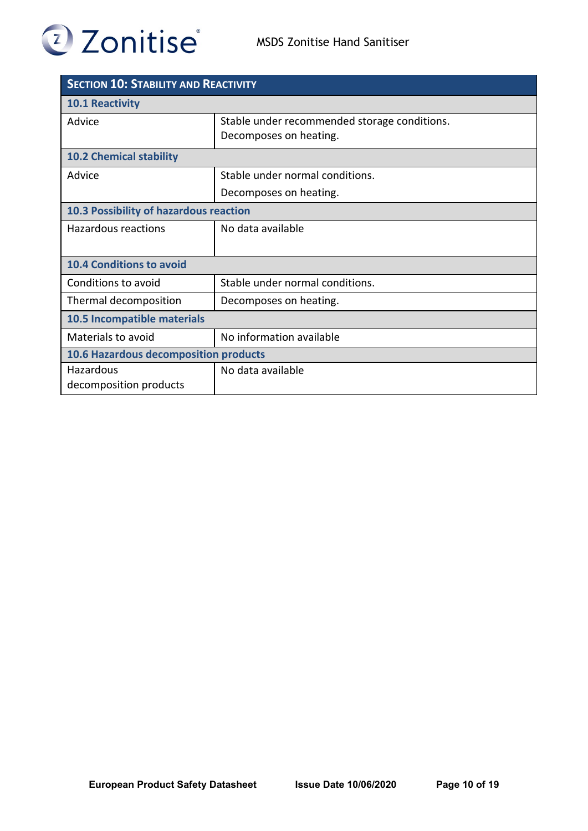

| <b>SECTION 10: STABILITY AND REACTIVITY</b>  |                                                                        |  |
|----------------------------------------------|------------------------------------------------------------------------|--|
| <b>10.1 Reactivity</b>                       |                                                                        |  |
| Advice                                       | Stable under recommended storage conditions.<br>Decomposes on heating. |  |
| <b>10.2 Chemical stability</b>               |                                                                        |  |
| Advice                                       | Stable under normal conditions.                                        |  |
|                                              | Decomposes on heating.                                                 |  |
| 10.3 Possibility of hazardous reaction       |                                                                        |  |
| Hazardous reactions                          | No data available                                                      |  |
| <b>10.4 Conditions to avoid</b>              |                                                                        |  |
| Conditions to avoid                          | Stable under normal conditions.                                        |  |
| Thermal decomposition                        | Decomposes on heating.                                                 |  |
| 10.5 Incompatible materials                  |                                                                        |  |
| Materials to avoid                           | No information available                                               |  |
| <b>10.6 Hazardous decomposition products</b> |                                                                        |  |
| <b>Hazardous</b><br>decomposition products   | No data available                                                      |  |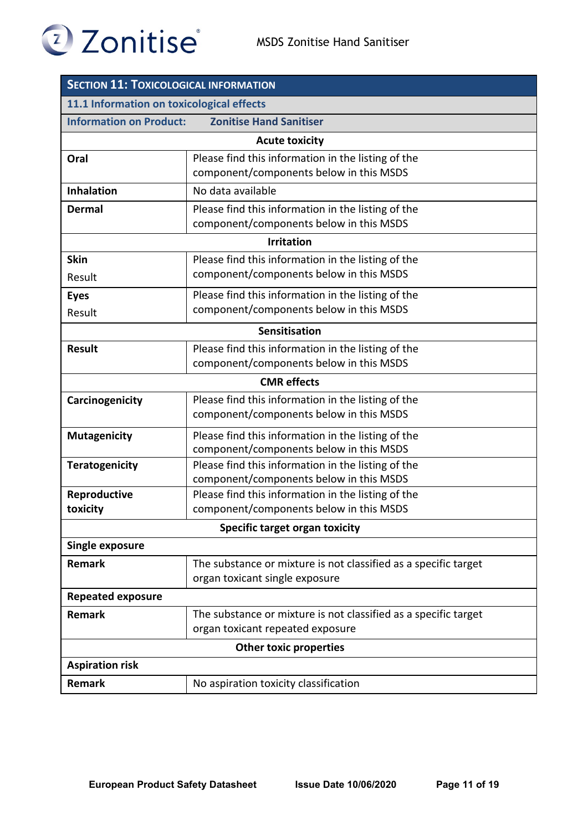

| 2 Zonitise |  |
|------------|--|

| <b>SECTION 11: TOXICOLOGICAL INFORMATION</b> |                                                                                                     |  |
|----------------------------------------------|-----------------------------------------------------------------------------------------------------|--|
| 11.1 Information on toxicological effects    |                                                                                                     |  |
| <b>Information on Product:</b>               | <b>Zonitise Hand Sanitiser</b>                                                                      |  |
|                                              | <b>Acute toxicity</b>                                                                               |  |
| Oral                                         | Please find this information in the listing of the<br>component/components below in this MSDS       |  |
| <b>Inhalation</b>                            | No data available                                                                                   |  |
| <b>Dermal</b>                                | Please find this information in the listing of the<br>component/components below in this MSDS       |  |
|                                              | <b>Irritation</b>                                                                                   |  |
| <b>Skin</b><br>Result                        | Please find this information in the listing of the<br>component/components below in this MSDS       |  |
| <b>Eyes</b><br>Result                        | Please find this information in the listing of the<br>component/components below in this MSDS       |  |
|                                              | Sensitisation                                                                                       |  |
| <b>Result</b>                                | Please find this information in the listing of the<br>component/components below in this MSDS       |  |
| <b>CMR</b> effects                           |                                                                                                     |  |
| Carcinogenicity                              | Please find this information in the listing of the<br>component/components below in this MSDS       |  |
| <b>Mutagenicity</b>                          | Please find this information in the listing of the<br>component/components below in this MSDS       |  |
| <b>Teratogenicity</b>                        | Please find this information in the listing of the<br>component/components below in this MSDS       |  |
| Reproductive<br>toxicity                     | Please find this information in the listing of the<br>component/components below in this MSDS       |  |
| <b>Specific target organ toxicity</b>        |                                                                                                     |  |
| Single exposure                              |                                                                                                     |  |
| <b>Remark</b>                                | The substance or mixture is not classified as a specific target<br>organ toxicant single exposure   |  |
| <b>Repeated exposure</b>                     |                                                                                                     |  |
| <b>Remark</b>                                | The substance or mixture is not classified as a specific target<br>organ toxicant repeated exposure |  |
| <b>Other toxic properties</b>                |                                                                                                     |  |
| <b>Aspiration risk</b>                       |                                                                                                     |  |
| <b>Remark</b>                                | No aspiration toxicity classification                                                               |  |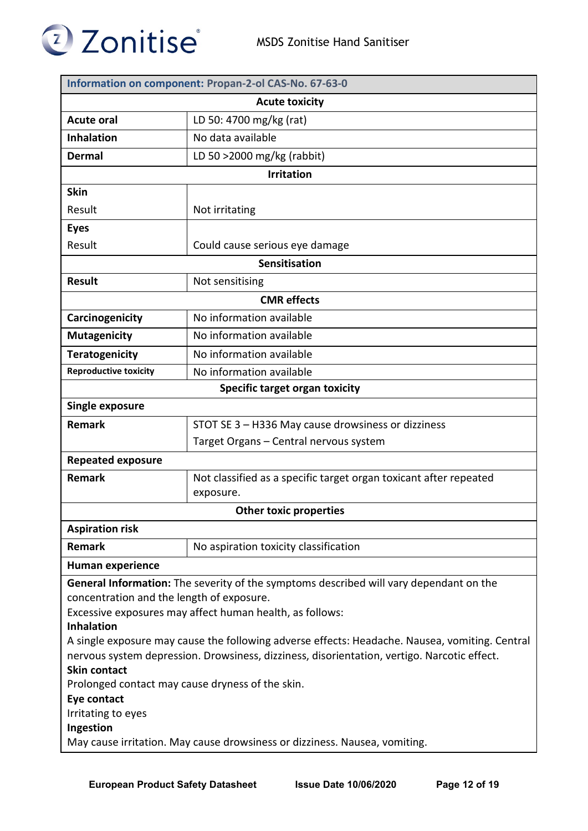

|                                                                                                | Information on component: Propan-2-ol CAS-No. 67-63-0             |  |  |
|------------------------------------------------------------------------------------------------|-------------------------------------------------------------------|--|--|
| <b>Acute toxicity</b>                                                                          |                                                                   |  |  |
| <b>Acute oral</b>                                                                              | LD 50: 4700 mg/kg (rat)                                           |  |  |
| <b>Inhalation</b>                                                                              | No data available                                                 |  |  |
| <b>Dermal</b>                                                                                  | LD 50 >2000 mg/kg (rabbit)                                        |  |  |
|                                                                                                | <b>Irritation</b>                                                 |  |  |
| <b>Skin</b>                                                                                    |                                                                   |  |  |
| Result                                                                                         | Not irritating                                                    |  |  |
| <b>Eyes</b>                                                                                    |                                                                   |  |  |
| Result                                                                                         | Could cause serious eye damage                                    |  |  |
|                                                                                                | <b>Sensitisation</b>                                              |  |  |
| <b>Result</b>                                                                                  | Not sensitising                                                   |  |  |
|                                                                                                | <b>CMR</b> effects                                                |  |  |
| Carcinogenicity                                                                                | No information available                                          |  |  |
| <b>Mutagenicity</b>                                                                            | No information available                                          |  |  |
| <b>Teratogenicity</b>                                                                          | No information available                                          |  |  |
| <b>Reproductive toxicity</b>                                                                   | No information available                                          |  |  |
|                                                                                                | Specific target organ toxicity                                    |  |  |
| <b>Single exposure</b>                                                                         |                                                                   |  |  |
| <b>Remark</b>                                                                                  | STOT SE 3 - H336 May cause drowsiness or dizziness                |  |  |
|                                                                                                | Target Organs - Central nervous system                            |  |  |
| <b>Repeated exposure</b>                                                                       |                                                                   |  |  |
| <b>Remark</b>                                                                                  | Not classified as a specific target organ toxicant after repeated |  |  |
|                                                                                                | exposure.                                                         |  |  |
|                                                                                                | <b>Other toxic properties</b>                                     |  |  |
| <b>Aspiration risk</b>                                                                         |                                                                   |  |  |
| <b>Remark</b>                                                                                  | No aspiration toxicity classification                             |  |  |
| <b>Human experience</b>                                                                        |                                                                   |  |  |
| General Information: The severity of the symptoms described will vary dependant on the         |                                                                   |  |  |
| concentration and the length of exposure.                                                      |                                                                   |  |  |
| Excessive exposures may affect human health, as follows:<br><b>Inhalation</b>                  |                                                                   |  |  |
| A single exposure may cause the following adverse effects: Headache. Nausea, vomiting. Central |                                                                   |  |  |
| nervous system depression. Drowsiness, dizziness, disorientation, vertigo. Narcotic effect.    |                                                                   |  |  |
| <b>Skin contact</b>                                                                            |                                                                   |  |  |
| Prolonged contact may cause dryness of the skin.<br>Eye contact                                |                                                                   |  |  |
| Irritating to eyes                                                                             |                                                                   |  |  |
| Ingestion                                                                                      |                                                                   |  |  |
| May cause irritation. May cause drowsiness or dizziness. Nausea, vomiting.                     |                                                                   |  |  |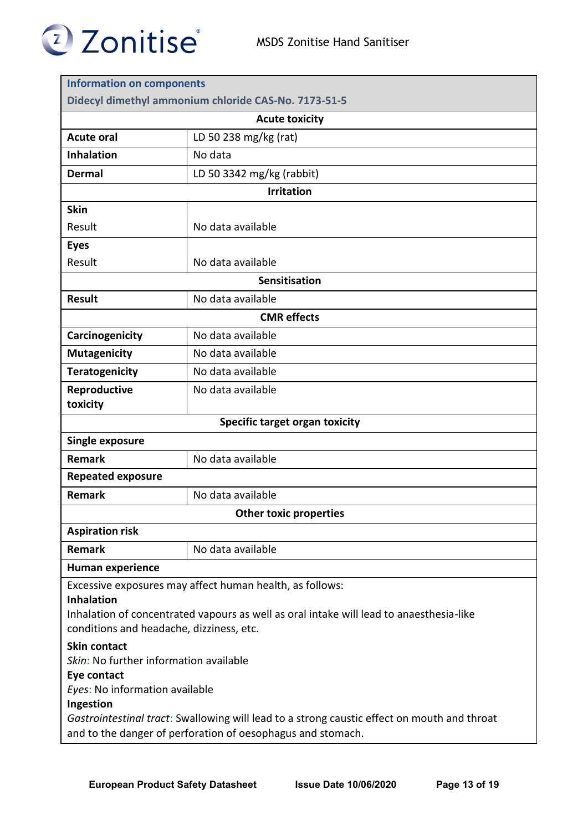

| Didecyl dimethyl ammonium chloride CAS-No. 7173-51-5<br><b>Acute toxicity</b><br>LD 50 238 mg/kg (rat)<br>No data<br>LD 50 3342 mg/kg (rabbit)<br><b>Irritation</b><br>No data available<br>No data available<br>Sensitisation<br>No data available<br><b>CMR</b> effects<br>No data available<br>No data available<br>No data available<br>No data available<br>toxicity<br>Specific target organ toxicity<br>Single exposure<br><b>Remark</b><br>No data available<br><b>Repeated exposure</b><br><b>Remark</b><br>No data available<br><b>Other toxic properties</b><br><b>Aspiration risk</b><br><b>Remark</b><br>No data available<br><b>Inhalation</b> | <b>Information on components</b>                         |  |  |
|--------------------------------------------------------------------------------------------------------------------------------------------------------------------------------------------------------------------------------------------------------------------------------------------------------------------------------------------------------------------------------------------------------------------------------------------------------------------------------------------------------------------------------------------------------------------------------------------------------------------------------------------------------------|----------------------------------------------------------|--|--|
|                                                                                                                                                                                                                                                                                                                                                                                                                                                                                                                                                                                                                                                              |                                                          |  |  |
|                                                                                                                                                                                                                                                                                                                                                                                                                                                                                                                                                                                                                                                              |                                                          |  |  |
|                                                                                                                                                                                                                                                                                                                                                                                                                                                                                                                                                                                                                                                              | <b>Acute oral</b>                                        |  |  |
|                                                                                                                                                                                                                                                                                                                                                                                                                                                                                                                                                                                                                                                              | <b>Inhalation</b>                                        |  |  |
|                                                                                                                                                                                                                                                                                                                                                                                                                                                                                                                                                                                                                                                              | <b>Dermal</b>                                            |  |  |
|                                                                                                                                                                                                                                                                                                                                                                                                                                                                                                                                                                                                                                                              |                                                          |  |  |
|                                                                                                                                                                                                                                                                                                                                                                                                                                                                                                                                                                                                                                                              | <b>Skin</b>                                              |  |  |
|                                                                                                                                                                                                                                                                                                                                                                                                                                                                                                                                                                                                                                                              | Result                                                   |  |  |
|                                                                                                                                                                                                                                                                                                                                                                                                                                                                                                                                                                                                                                                              | <b>Eyes</b>                                              |  |  |
|                                                                                                                                                                                                                                                                                                                                                                                                                                                                                                                                                                                                                                                              | Result                                                   |  |  |
|                                                                                                                                                                                                                                                                                                                                                                                                                                                                                                                                                                                                                                                              |                                                          |  |  |
|                                                                                                                                                                                                                                                                                                                                                                                                                                                                                                                                                                                                                                                              | <b>Result</b>                                            |  |  |
|                                                                                                                                                                                                                                                                                                                                                                                                                                                                                                                                                                                                                                                              |                                                          |  |  |
|                                                                                                                                                                                                                                                                                                                                                                                                                                                                                                                                                                                                                                                              | Carcinogenicity                                          |  |  |
|                                                                                                                                                                                                                                                                                                                                                                                                                                                                                                                                                                                                                                                              | <b>Mutagenicity</b>                                      |  |  |
|                                                                                                                                                                                                                                                                                                                                                                                                                                                                                                                                                                                                                                                              | <b>Teratogenicity</b>                                    |  |  |
|                                                                                                                                                                                                                                                                                                                                                                                                                                                                                                                                                                                                                                                              | Reproductive                                             |  |  |
|                                                                                                                                                                                                                                                                                                                                                                                                                                                                                                                                                                                                                                                              |                                                          |  |  |
|                                                                                                                                                                                                                                                                                                                                                                                                                                                                                                                                                                                                                                                              |                                                          |  |  |
|                                                                                                                                                                                                                                                                                                                                                                                                                                                                                                                                                                                                                                                              |                                                          |  |  |
|                                                                                                                                                                                                                                                                                                                                                                                                                                                                                                                                                                                                                                                              |                                                          |  |  |
|                                                                                                                                                                                                                                                                                                                                                                                                                                                                                                                                                                                                                                                              |                                                          |  |  |
|                                                                                                                                                                                                                                                                                                                                                                                                                                                                                                                                                                                                                                                              |                                                          |  |  |
|                                                                                                                                                                                                                                                                                                                                                                                                                                                                                                                                                                                                                                                              |                                                          |  |  |
|                                                                                                                                                                                                                                                                                                                                                                                                                                                                                                                                                                                                                                                              |                                                          |  |  |
|                                                                                                                                                                                                                                                                                                                                                                                                                                                                                                                                                                                                                                                              |                                                          |  |  |
|                                                                                                                                                                                                                                                                                                                                                                                                                                                                                                                                                                                                                                                              | <b>Human experience</b>                                  |  |  |
|                                                                                                                                                                                                                                                                                                                                                                                                                                                                                                                                                                                                                                                              | Excessive exposures may affect human health, as follows: |  |  |
| Inhalation of concentrated vapours as well as oral intake will lead to anaesthesia-like                                                                                                                                                                                                                                                                                                                                                                                                                                                                                                                                                                      |                                                          |  |  |
| conditions and headache, dizziness, etc.                                                                                                                                                                                                                                                                                                                                                                                                                                                                                                                                                                                                                     |                                                          |  |  |
| <b>Skin contact</b>                                                                                                                                                                                                                                                                                                                                                                                                                                                                                                                                                                                                                                          |                                                          |  |  |
| Skin: No further information available                                                                                                                                                                                                                                                                                                                                                                                                                                                                                                                                                                                                                       |                                                          |  |  |
| Eye contact                                                                                                                                                                                                                                                                                                                                                                                                                                                                                                                                                                                                                                                  |                                                          |  |  |
| Eyes: No information available<br>Ingestion                                                                                                                                                                                                                                                                                                                                                                                                                                                                                                                                                                                                                  |                                                          |  |  |
| Gastrointestinal tract: Swallowing will lead to a strong caustic effect on mouth and throat                                                                                                                                                                                                                                                                                                                                                                                                                                                                                                                                                                  |                                                          |  |  |
| and to the danger of perforation of oesophagus and stomach.                                                                                                                                                                                                                                                                                                                                                                                                                                                                                                                                                                                                  |                                                          |  |  |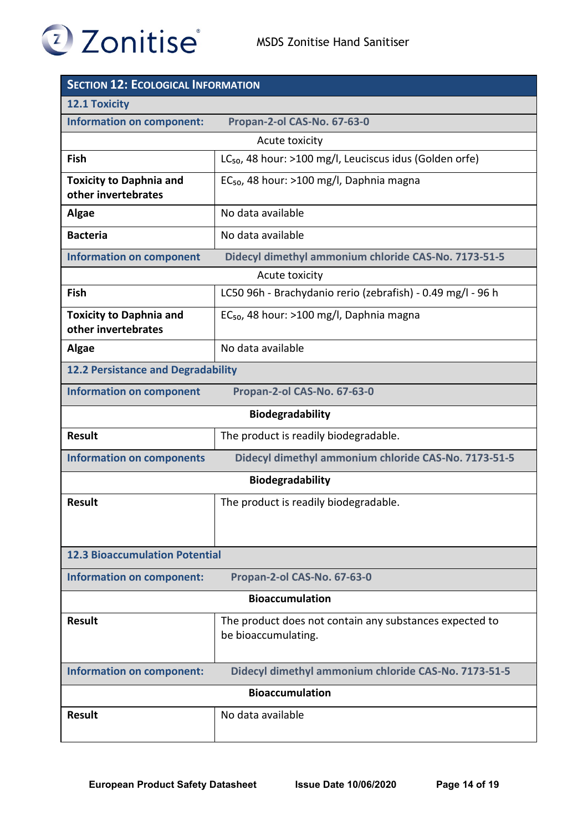

| <b>SECTION 12: ECOLOGICAL INFORMATION</b>             |                                                                                |  |
|-------------------------------------------------------|--------------------------------------------------------------------------------|--|
| <b>12.1 Toxicity</b>                                  |                                                                                |  |
| <b>Information on component:</b>                      | Propan-2-ol CAS-No. 67-63-0                                                    |  |
|                                                       | Acute toxicity                                                                 |  |
| Fish                                                  | LC <sub>50</sub> , 48 hour: >100 mg/l, Leuciscus idus (Golden orfe)            |  |
| <b>Toxicity to Daphnia and</b><br>other invertebrates | $EC_{50}$ , 48 hour: >100 mg/l, Daphnia magna                                  |  |
| <b>Algae</b>                                          | No data available                                                              |  |
| <b>Bacteria</b>                                       | No data available                                                              |  |
| <b>Information on component</b>                       | Didecyl dimethyl ammonium chloride CAS-No. 7173-51-5                           |  |
|                                                       | Acute toxicity                                                                 |  |
| Fish                                                  | LC50 96h - Brachydanio rerio (zebrafish) - 0.49 mg/l - 96 h                    |  |
| <b>Toxicity to Daphnia and</b><br>other invertebrates | EC <sub>50</sub> , 48 hour: >100 mg/l, Daphnia magna                           |  |
| Algae                                                 | No data available                                                              |  |
| <b>12.2 Persistance and Degradability</b>             |                                                                                |  |
| <b>Information on component</b>                       | Propan-2-ol CAS-No. 67-63-0                                                    |  |
| Biodegradability                                      |                                                                                |  |
| <b>Result</b>                                         | The product is readily biodegradable.                                          |  |
| <b>Information on components</b>                      | Didecyl dimethyl ammonium chloride CAS-No. 7173-51-5                           |  |
|                                                       | <b>Biodegradability</b>                                                        |  |
| <b>Result</b>                                         | The product is readily biodegradable.                                          |  |
| <b>12.3 Bioaccumulation Potential</b>                 |                                                                                |  |
| Information on component:                             | Propan-2-ol CAS-No. 67-63-0                                                    |  |
| <b>Bioaccumulation</b>                                |                                                                                |  |
| <b>Result</b>                                         | The product does not contain any substances expected to<br>be bioaccumulating. |  |
| <b>Information on component:</b>                      | Didecyl dimethyl ammonium chloride CAS-No. 7173-51-5                           |  |
| <b>Bioaccumulation</b>                                |                                                                                |  |
| <b>Result</b>                                         | No data available                                                              |  |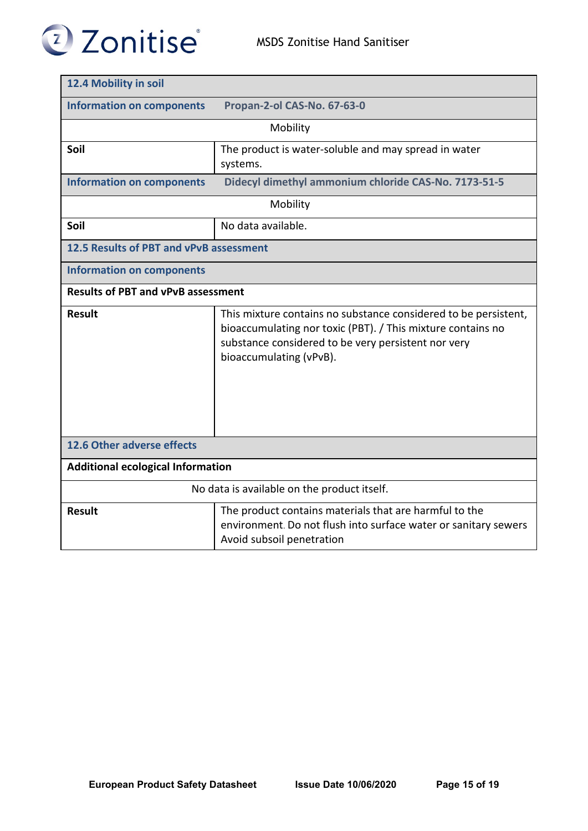

| 12.4 Mobility in soil                       |                                                                                                                                                                                                                  |  |
|---------------------------------------------|------------------------------------------------------------------------------------------------------------------------------------------------------------------------------------------------------------------|--|
| <b>Information on components</b>            | Propan-2-ol CAS-No. 67-63-0                                                                                                                                                                                      |  |
|                                             | Mobility                                                                                                                                                                                                         |  |
| Soil                                        | The product is water-soluble and may spread in water<br>systems.                                                                                                                                                 |  |
| <b>Information on components</b>            | Didecyl dimethyl ammonium chloride CAS-No. 7173-51-5                                                                                                                                                             |  |
|                                             | Mobility                                                                                                                                                                                                         |  |
| Soil                                        | No data available.                                                                                                                                                                                               |  |
| 12.5 Results of PBT and vPvB assessment     |                                                                                                                                                                                                                  |  |
| <b>Information on components</b>            |                                                                                                                                                                                                                  |  |
| <b>Results of PBT and vPvB assessment</b>   |                                                                                                                                                                                                                  |  |
| <b>Result</b>                               | This mixture contains no substance considered to be persistent,<br>bioaccumulating nor toxic (PBT). / This mixture contains no<br>substance considered to be very persistent nor very<br>bioaccumulating (vPvB). |  |
| 12.6 Other adverse effects                  |                                                                                                                                                                                                                  |  |
| <b>Additional ecological Information</b>    |                                                                                                                                                                                                                  |  |
| No data is available on the product itself. |                                                                                                                                                                                                                  |  |
| <b>Result</b>                               | The product contains materials that are harmful to the<br>environment. Do not flush into surface water or sanitary sewers<br>Avoid subsoil penetration                                                           |  |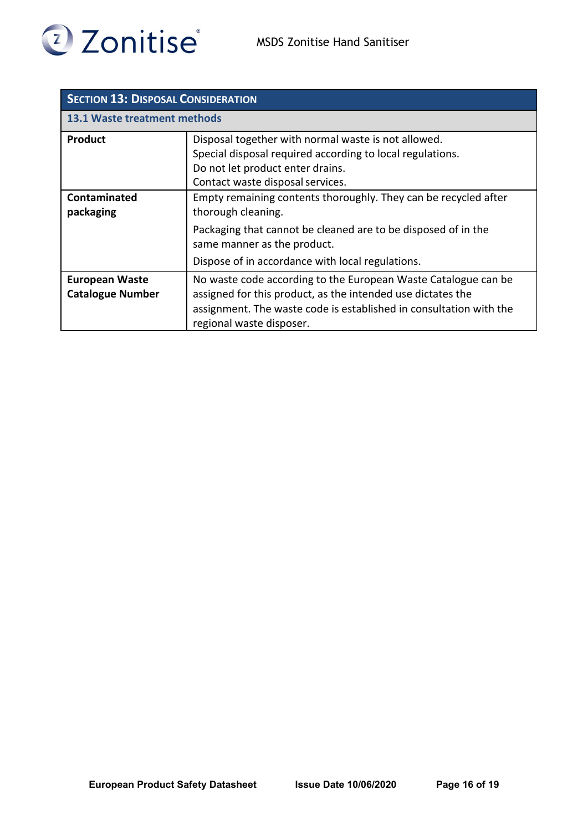

| <b>SECTION 13: DISPOSAL CONSIDERATION</b>        |                                                                                                                                                                                                                                 |  |
|--------------------------------------------------|---------------------------------------------------------------------------------------------------------------------------------------------------------------------------------------------------------------------------------|--|
| <b>13.1 Waste treatment methods</b>              |                                                                                                                                                                                                                                 |  |
| <b>Product</b>                                   | Disposal together with normal waste is not allowed.<br>Special disposal required according to local regulations.<br>Do not let product enter drains.<br>Contact waste disposal services.                                        |  |
| Contaminated<br>packaging                        | Empty remaining contents thoroughly. They can be recycled after<br>thorough cleaning.<br>Packaging that cannot be cleaned are to be disposed of in the                                                                          |  |
|                                                  | same manner as the product.<br>Dispose of in accordance with local regulations.                                                                                                                                                 |  |
| <b>European Waste</b><br><b>Catalogue Number</b> | No waste code according to the European Waste Catalogue can be<br>assigned for this product, as the intended use dictates the<br>assignment. The waste code is established in consultation with the<br>regional waste disposer. |  |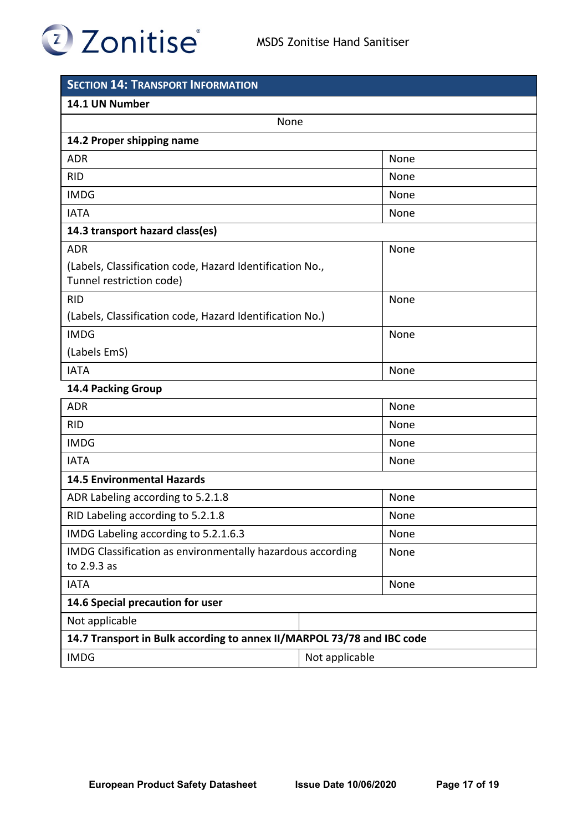## 2 Zonitise

| <b>SECTION 14: TRANSPORT INFORMATION</b>                                             |                |
|--------------------------------------------------------------------------------------|----------------|
| 14.1 UN Number                                                                       |                |
| None                                                                                 |                |
| 14.2 Proper shipping name                                                            |                |
| <b>ADR</b>                                                                           | None           |
| <b>RID</b>                                                                           | None           |
| <b>IMDG</b>                                                                          | None           |
| <b>IATA</b>                                                                          | None           |
| 14.3 transport hazard class(es)                                                      |                |
| <b>ADR</b>                                                                           | None           |
| (Labels, Classification code, Hazard Identification No.,<br>Tunnel restriction code) |                |
| <b>RID</b>                                                                           | None           |
| (Labels, Classification code, Hazard Identification No.)                             |                |
| <b>IMDG</b>                                                                          | None           |
| (Labels EmS)                                                                         |                |
| <b>IATA</b>                                                                          | None           |
| 14.4 Packing Group                                                                   |                |
| <b>ADR</b>                                                                           | None           |
| <b>RID</b>                                                                           | None           |
| <b>IMDG</b>                                                                          | None           |
| <b>IATA</b>                                                                          | None           |
| <b>14.5 Environmental Hazards</b>                                                    |                |
| ADR Labeling according to 5.2.1.8                                                    | None           |
| RID Labeling according to 5.2.1.8                                                    | None           |
| IMDG Labeling according to 5.2.1.6.3                                                 | None           |
| IMDG Classification as environmentally hazardous according                           | None           |
| to 2.9.3 as                                                                          |                |
| <b>IATA</b>                                                                          | None           |
| 14.6 Special precaution for user                                                     |                |
| Not applicable                                                                       |                |
| 14.7 Transport in Bulk according to annex II/MARPOL 73/78 and IBC code               |                |
| <b>IMDG</b>                                                                          | Not applicable |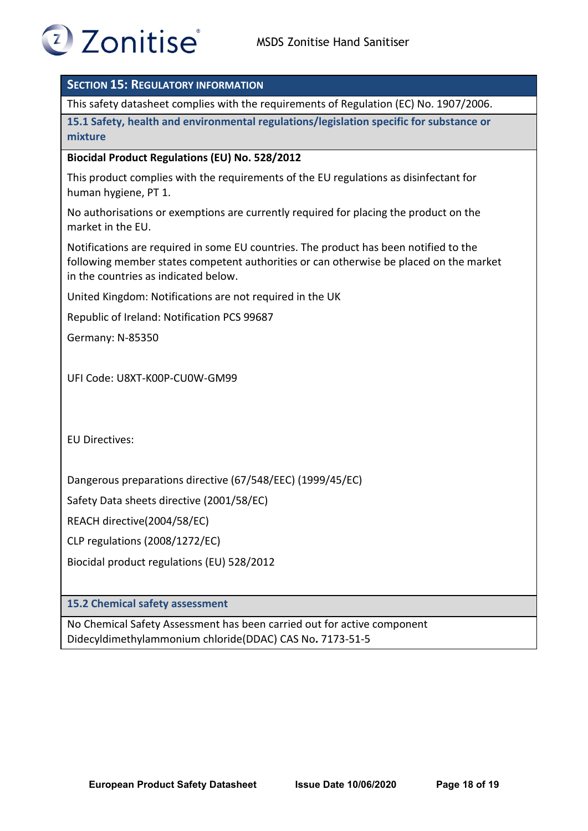

## **SECTION 15: REGULATORY INFORMATION**

This safety datasheet complies with the requirements of Regulation (EC) No. 1907/2006.

**15.1 Safety, health and environmental regulations/legislation specific for substance or mixture**

### **Biocidal Product Regulations (EU) No. 528/2012**

This product complies with the requirements of the EU regulations as disinfectant for human hygiene, PT 1.

No authorisations or exemptions are currently required for placing the product on the market in the EU.

Notifications are required in some EU countries. The product has been notified to the following member states competent authorities or can otherwise be placed on the market in the countries as indicated below.

United Kingdom: Notifications are not required in the UK

Republic of Ireland: Notification PCS 99687

Germany: N-85350

UFI Code: U8XT-K00P-CU0W-GM99

EU Directives:

Dangerous preparations directive (67/548/EEC) (1999/45/EC)

Safety Data sheets directive (2001/58/EC)

REACH directive(2004/58/EC)

CLP regulations (2008/1272/EC)

Biocidal product regulations (EU) 528/2012

**15.2 Chemical safety assessment**

No Chemical Safety Assessment has been carried out for active componen[t](https://echa.europa.eu/substance-information/-/substanceinfo/100.027.751) [Didecyldimethylammonium chloride\(DDAC\) C](https://echa.europa.eu/substance-information/-/substanceinfo/100.027.751)AS No**.** 7173-51-5